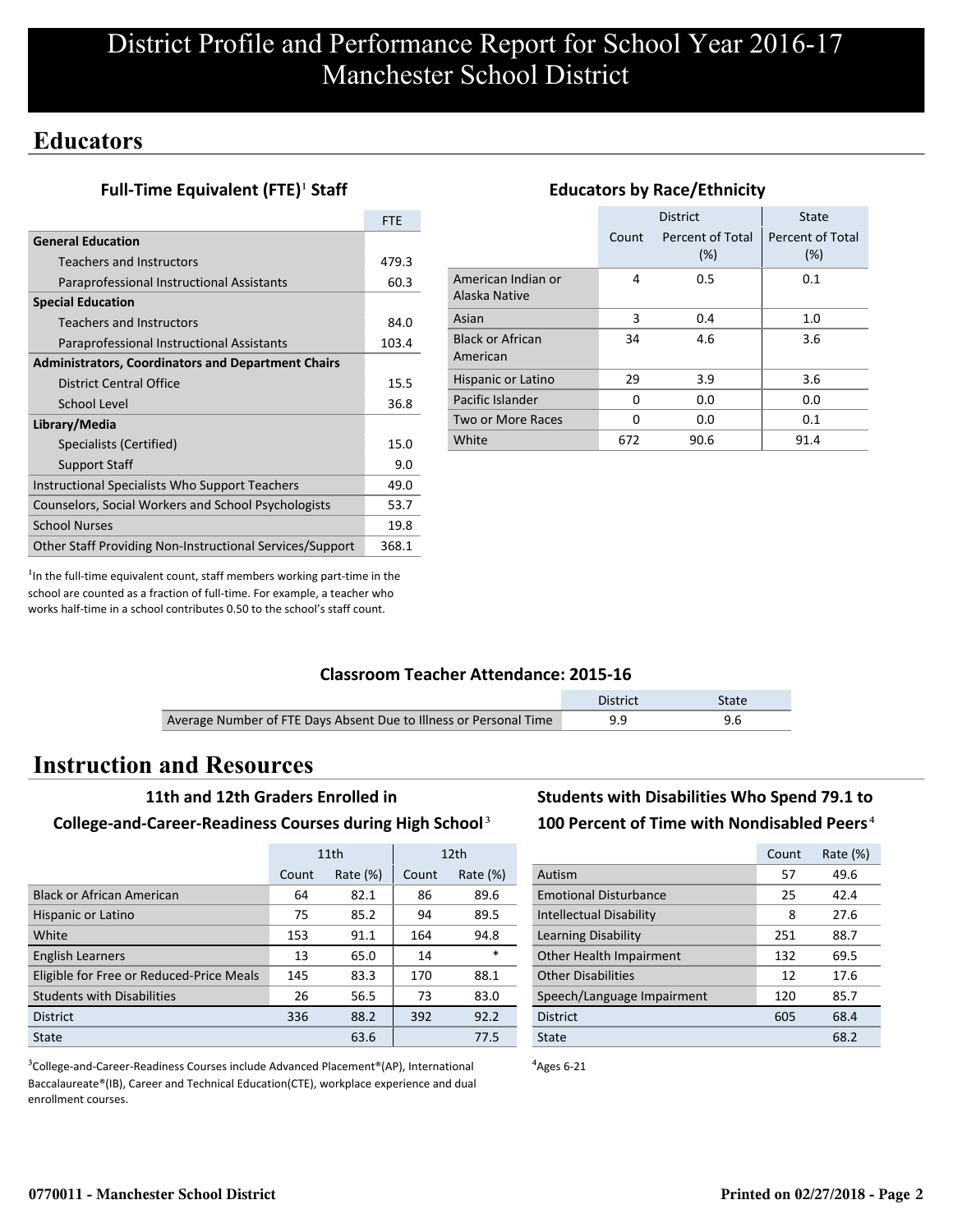## **Educators**

### **Full-Time Equivalent (FTE)<sup>1</sup> Staff**

|                                                           | <b>FTE</b> |
|-----------------------------------------------------------|------------|
| <b>General Education</b>                                  |            |
| <b>Teachers and Instructors</b>                           | 479.3      |
| Paraprofessional Instructional Assistants                 | 60.3       |
| <b>Special Education</b>                                  |            |
| <b>Teachers and Instructors</b>                           | 84.0       |
| Paraprofessional Instructional Assistants                 | 103.4      |
| <b>Administrators, Coordinators and Department Chairs</b> |            |
| District Central Office                                   | 15.5       |
| School Level                                              | 36.8       |
| Library/Media                                             |            |
| Specialists (Certified)                                   | 15.0       |
| <b>Support Staff</b>                                      | 9.0        |
| Instructional Specialists Who Support Teachers            | 49.0       |
| Counselors, Social Workers and School Psychologists       | 53.7       |
| <b>School Nurses</b>                                      | 19.8       |
| Other Staff Providing Non-Instructional Services/Support  | 368.1      |

|                                     |       | <b>District</b>            | <b>State</b>            |  |  |
|-------------------------------------|-------|----------------------------|-------------------------|--|--|
|                                     | Count | Percent of Total<br>$(\%)$ | Percent of Total<br>(%) |  |  |
| American Indian or<br>Alaska Native | 4     | 0.5                        | 0.1                     |  |  |
| Asian                               | 3     | 0.4                        | 1.0                     |  |  |
| <b>Black or African</b><br>American | 34    | 4.6                        | 3.6                     |  |  |
| Hispanic or Latino                  | 29    | 3.9                        | 3.6                     |  |  |
| Pacific Islander                    | O     | 0.0                        | 0.0                     |  |  |
| Two or More Races                   | ŋ     | 0.0                        | 0.1                     |  |  |
| White                               | 672   | 90.6                       | 91.4                    |  |  |

**Educators by Race/Ethnicity**

 $<sup>1</sup>$ In the full-time equivalent count, staff members working part-time in the</sup> school are counted as a fraction of full-time. For example, a teacher who works half-time in a school contributes 0.50 to the school's staff count.

### **Classroom Teacher Attendance: 2015-16**

|                                                                   | District | State |
|-------------------------------------------------------------------|----------|-------|
| Average Number of FTE Days Absent Due to Illness or Personal Time |          |       |

## **Instruction and Resources**

#### **11th and 12th Graders Enrolled in**

#### **College-and-Career-Readiness Courses during High School**³

|                                          |       | 11th        | 12 <sub>th</sub> |             |
|------------------------------------------|-------|-------------|------------------|-------------|
|                                          | Count | Rate $(\%)$ | Count            | Rate $(\%)$ |
| <b>Black or African American</b>         | 64    | 82.1        | 86               | 89.6        |
| Hispanic or Latino                       | 75    | 85.2        | 94               | 89.5        |
| White                                    | 153   | 91.1        | 164              | 94.8        |
| <b>English Learners</b>                  | 13    | 65.0        | 14               | $\ast$      |
| Eligible for Free or Reduced-Price Meals | 145   | 83.3        | 170              | 88.1        |
| <b>Students with Disabilities</b>        | 26    | 56.5        | 73               | 83.0        |
| <b>District</b>                          | 336   | 88.2        | 392              | 92.2        |
| State                                    |       | 63.6        |                  | 77.5        |

<sup>3</sup>College-and-Career-Readiness Courses include Advanced Placement®(AP), International Baccalaureate®(IB), Career and Technical Education(CTE), workplace experience and dual enrollment courses.

## **Students with Disabilities Who Spend 79.1 to** 100 Percent of Time with Nondisabled Peers<sup>4</sup>

|                                | Count | Rate (%) |
|--------------------------------|-------|----------|
| Autism                         | 57    | 49.6     |
| <b>Emotional Disturbance</b>   | 25    | 42.4     |
| <b>Intellectual Disability</b> | 8     | 27.6     |
| Learning Disability            | 251   | 88.7     |
| Other Health Impairment        | 132   | 69.5     |
| <b>Other Disabilities</b>      | 12    | 17.6     |
| Speech/Language Impairment     | 120   | 85.7     |
| <b>District</b>                | 605   | 68.4     |
| State                          |       | 68.2     |

 $4$ Ages 6-21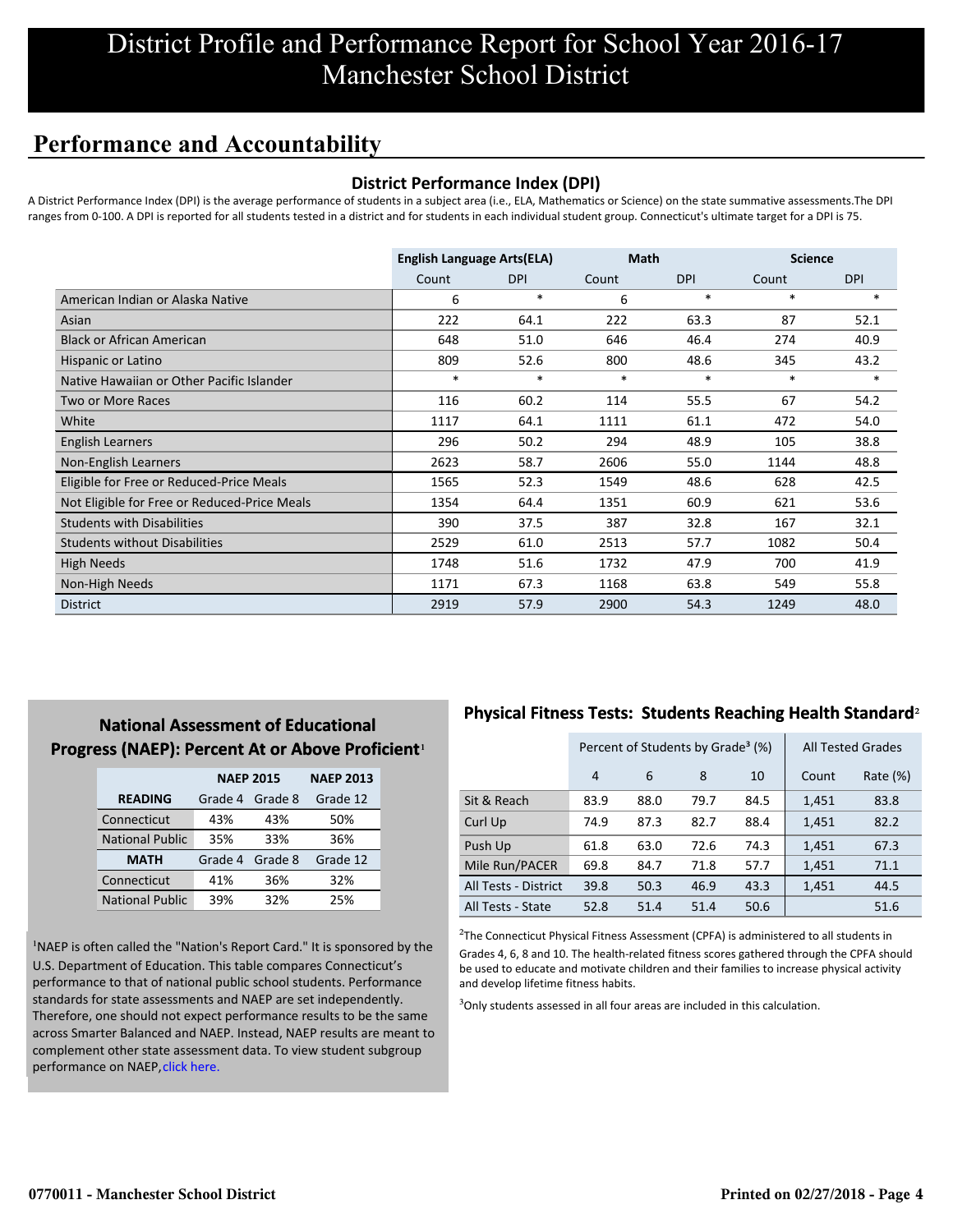# District Profile and Performance Report for School Year 2016-17 Manchester School District

# **Performance and Accountability**

### **District Performance Index (DPI)**

A District Performance Index (DPI) is the average performance of students in a subject area (i.e., ELA, Mathematics or Science) on the state summative assessments.The DPI ranges from 0-100. A DPI is reported for all students tested in a district and for students in each individual student group. Connecticut's ultimate target for a DPI is 75.

|                                              | <b>English Language Arts(ELA)</b> |            | <b>Math</b> |            | <b>Science</b> |            |
|----------------------------------------------|-----------------------------------|------------|-------------|------------|----------------|------------|
|                                              | Count                             | <b>DPI</b> | Count       | <b>DPI</b> | Count          | <b>DPI</b> |
| American Indian or Alaska Native             | 6                                 | $\ast$     | 6           | $\ast$     | $\ast$         | $\ast$     |
| Asian                                        | 222                               | 64.1       | 222         | 63.3       | 87             | 52.1       |
| <b>Black or African American</b>             | 648                               | 51.0       | 646         | 46.4       | 274            | 40.9       |
| Hispanic or Latino                           | 809                               | 52.6       | 800         | 48.6       | 345            | 43.2       |
| Native Hawaiian or Other Pacific Islander    | $\ast$                            | $\ast$     | $\ast$      | $\ast$     | $\ast$         | $*$        |
| Two or More Races                            | 116                               | 60.2       | 114         | 55.5       | 67             | 54.2       |
| White                                        | 1117                              | 64.1       | 1111        | 61.1       | 472            | 54.0       |
| <b>English Learners</b>                      | 296                               | 50.2       | 294         | 48.9       | 105            | 38.8       |
| Non-English Learners                         | 2623                              | 58.7       | 2606        | 55.0       | 1144           | 48.8       |
| Eligible for Free or Reduced-Price Meals     | 1565                              | 52.3       | 1549        | 48.6       | 628            | 42.5       |
| Not Eligible for Free or Reduced-Price Meals | 1354                              | 64.4       | 1351        | 60.9       | 621            | 53.6       |
| <b>Students with Disabilities</b>            | 390                               | 37.5       | 387         | 32.8       | 167            | 32.1       |
| <b>Students without Disabilities</b>         | 2529                              | 61.0       | 2513        | 57.7       | 1082           | 50.4       |
| <b>High Needs</b>                            | 1748                              | 51.6       | 1732        | 47.9       | 700            | 41.9       |
| Non-High Needs                               | 1171                              | 67.3       | 1168        | 63.8       | 549            | 55.8       |
| <b>District</b>                              | 2919                              | 57.9       | 2900        | 54.3       | 1249           | 48.0       |

## **National Assessment of Educational Progress (NAEP): Percent At or Above Proficient1**

|                        | <b>NAEP 2015</b>   | <b>NAEP 2013</b> |          |
|------------------------|--------------------|------------------|----------|
| <b>READING</b>         | Grade 4<br>Grade 8 |                  | Grade 12 |
| Connecticut            | 43%                | 43%              | 50%      |
| <b>National Public</b> | 35%                | 33%              | 36%      |
| <b>MATH</b>            | Grade 4            | Grade 8          | Grade 12 |
| Connecticut            | 41%                | 36%              | 32%      |
| <b>National Public</b> | 39%                | 32%              | 25%      |

<sup>1</sup>NAEP is often called the "Nation's Report Card." It is sponsored by the U.S. Department of Education. This table compares Connecticut's performance to that of national public school students. Performance standards for state assessments and NAEP are set independently. Therefore, one should not expect performance results to be the same [across Smarter Balanced and NAEP. Instead, NAEP results are meant to](http://portal.ct.gov/-/media/SDE/Student-Assessment/NAEP/ct_naep_2015_results_by_performance_level.pdf?la=en) complement other state assessment data. To view student subgroup performance on NAEP, click here.

## **Physical Fitness Tests: Students Reaching Health Standard**²

|                      | Percent of Students by Grade <sup>3</sup> (%) |              |      |      | <b>All Tested Grades</b> |          |
|----------------------|-----------------------------------------------|--------------|------|------|--------------------------|----------|
|                      | 4                                             | 6<br>8<br>10 |      |      | Count                    | Rate (%) |
| Sit & Reach          | 83.9                                          | 88.0         | 79.7 | 84.5 | 1,451                    | 83.8     |
| Curl Up              | 74.9                                          | 87.3         | 82.7 | 88.4 | 1,451                    | 82.2     |
| Push Up              | 61.8                                          | 63.0         | 72.6 | 74.3 | 1,451                    | 67.3     |
| Mile Run/PACER       | 69.8                                          | 84.7         | 71.8 | 57.7 | 1,451                    | 71.1     |
| All Tests - District | 39.8                                          | 50.3         | 46.9 | 43.3 | 1,451                    | 44.5     |
| All Tests - State    | 52.8                                          | 51.4         | 51.4 | 50.6 |                          | 51.6     |

 $2$ The Connecticut Physical Fitness Assessment (CPFA) is administered to all students in Grades 4, 6, 8 and 10. The health-related fitness scores gathered through the CPFA should be used to educate and motivate children and their families to increase physical activity and develop lifetime fitness habits.

<sup>3</sup>Only students assessed in all four areas are included in this calculation.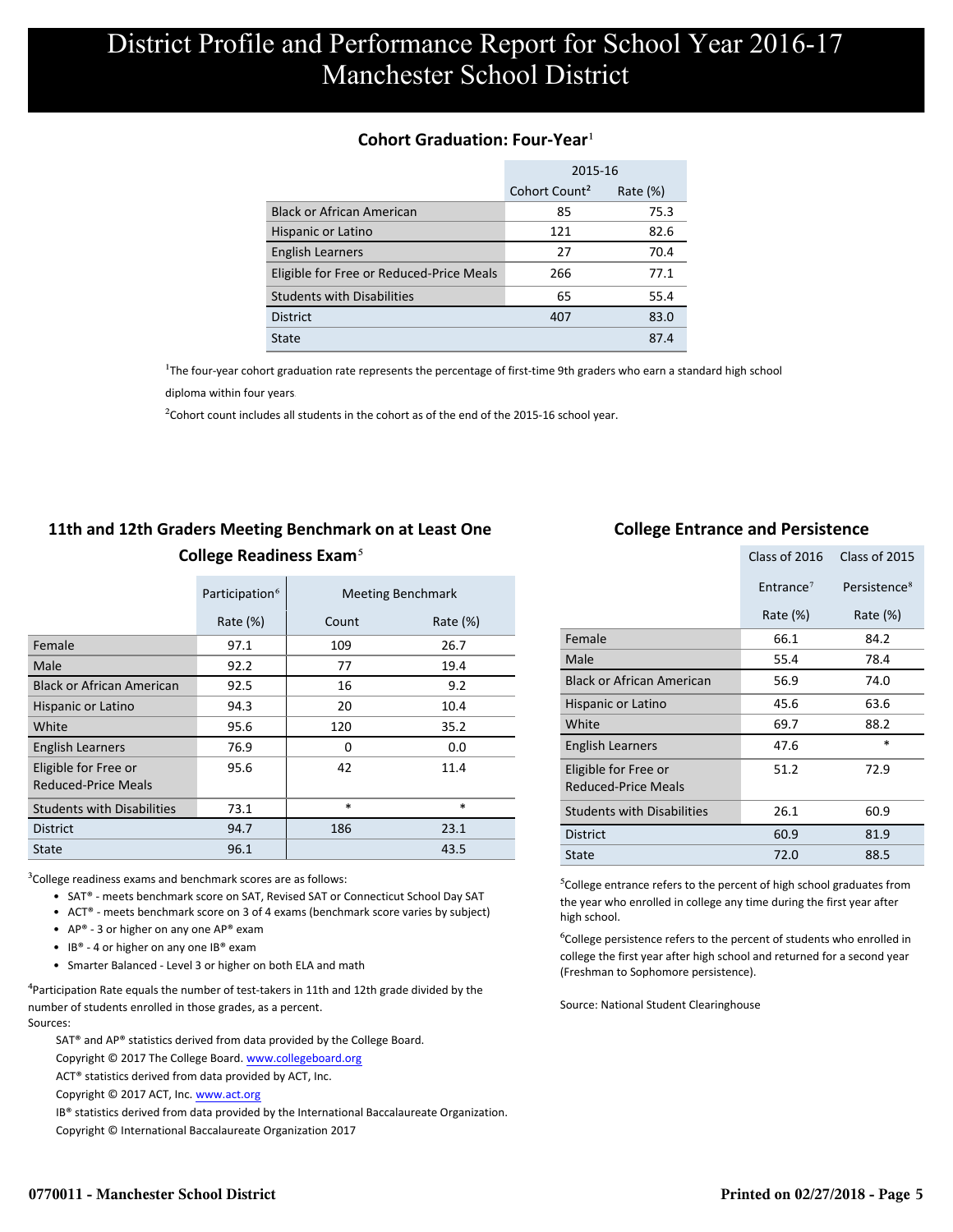#### **Cohort Graduation: Four-Year**<sup>1</sup>

|                                          | 2015-16                                  |      |  |  |
|------------------------------------------|------------------------------------------|------|--|--|
|                                          | Cohort Count <sup>2</sup><br>Rate $(\%)$ |      |  |  |
| <b>Black or African American</b>         | 85                                       | 75.3 |  |  |
| Hispanic or Latino                       | 121                                      | 82.6 |  |  |
| <b>English Learners</b>                  | 27                                       | 70.4 |  |  |
| Eligible for Free or Reduced-Price Meals | 266                                      | 77.1 |  |  |
| <b>Students with Disabilities</b>        | 65                                       | 55.4 |  |  |
| <b>District</b>                          | 407                                      | 83.0 |  |  |
| State                                    |                                          | 87.4 |  |  |

<sup>1</sup>The four-year cohort graduation rate represents the percentage of first-time 9th graders who earn a standard high school

[diploma within four years.](http://www.sde.ct.gov/sde/cwp/view.asp?a=2758&q=334898)

 $2$ Cohort count includes all students in the cohort as of the end of the 2015-16 school year.

## **11th and 12th Graders Meeting Benchmark on at Least One College Readiness Exam**⁵

|                                             | Participation <sup>6</sup> |        | <b>Meeting Benchmark</b> |
|---------------------------------------------|----------------------------|--------|--------------------------|
|                                             | Rate $(\%)$                | Count  | Rate $(\%)$              |
| Female                                      | 97.1                       | 109    | 26.7                     |
| Male                                        | 92.2                       | 77     | 19.4                     |
| <b>Black or African American</b>            | 92.5                       | 16     | 9.2                      |
| Hispanic or Latino                          | 94.3                       | 20     | 10.4                     |
| White                                       | 95.6                       | 120    | 35.2                     |
| <b>English Learners</b>                     | 76.9                       | 0      | 0.0                      |
| Eligible for Free or<br>Reduced-Price Meals | 95.6                       | 42     | 11.4                     |
| <b>Students with Disabilities</b>           | 73.1                       | $\ast$ | $\ast$                   |
| <b>District</b>                             | 94.7                       | 186    | 23.1                     |
| State                                       | 96.1                       |        | 43.5                     |

 $3$ College readiness exams and benchmark scores are as follows:

- SAT® meets benchmark score on SAT, Revised SAT or Connecticut School Day SAT
- ACT® meets benchmark score on 3 of 4 exams (benchmark score varies by subject)
- AP® 3 or higher on any one  $AP^®$  exam
- IB® 4 or higher on any one IB® exam
- Smarter Balanced Level 3 or higher on both ELA and math

 $4$ Participation Rate equals the number of test-takers in 11th and 12th grade divided by the number of students enrolled in those grades, as a percent. Sources:

SAT® and AP® statistics derived from data provided by the College Board.

Copyright © 2017 The College Board. www.collegeboard.org

ACT® statistics derived from data provided by ACT, Inc.

Copyright © 2017 ACT, Inc. www.act.org

 IB® statistics derived from data provided by the International Baccalaureate Organization. Copyright © International Baccalaureate Organization 2017

### **College Entrance and Persistence**

|                                                    | Class of 2016<br>Class of 2015 |                          |
|----------------------------------------------------|--------------------------------|--------------------------|
|                                                    | Entrance <sup>7</sup>          | Persistence <sup>8</sup> |
|                                                    | Rate (%)                       | Rate $(\%)$              |
| Female                                             | 66.1                           | 84.2                     |
| Male                                               | 55.4                           | 78.4                     |
| <b>Black or African American</b>                   | 56.9                           | 74.0                     |
| Hispanic or Latino                                 | 45.6                           | 63.6                     |
| White                                              | 69.7                           | 88.2                     |
| English Learners                                   | 47.6                           | $\ast$                   |
| Eligible for Free or<br><b>Reduced-Price Meals</b> | 51.2                           | 72.9                     |
| <b>Students with Disabilities</b>                  | 26.1                           | 60.9                     |
| <b>District</b>                                    | 60.9                           | 81.9                     |
| State                                              | 72.0                           | 88.5                     |

⁵College entrance refers to the percent of high school graduates from the year who enrolled in college any time during the first year after high school.

⁶College persistence refers to the percent of students who enrolled in college the first year after high school and returned for a second year (Freshman to Sophomore persistence).

Source: National Student Clearinghouse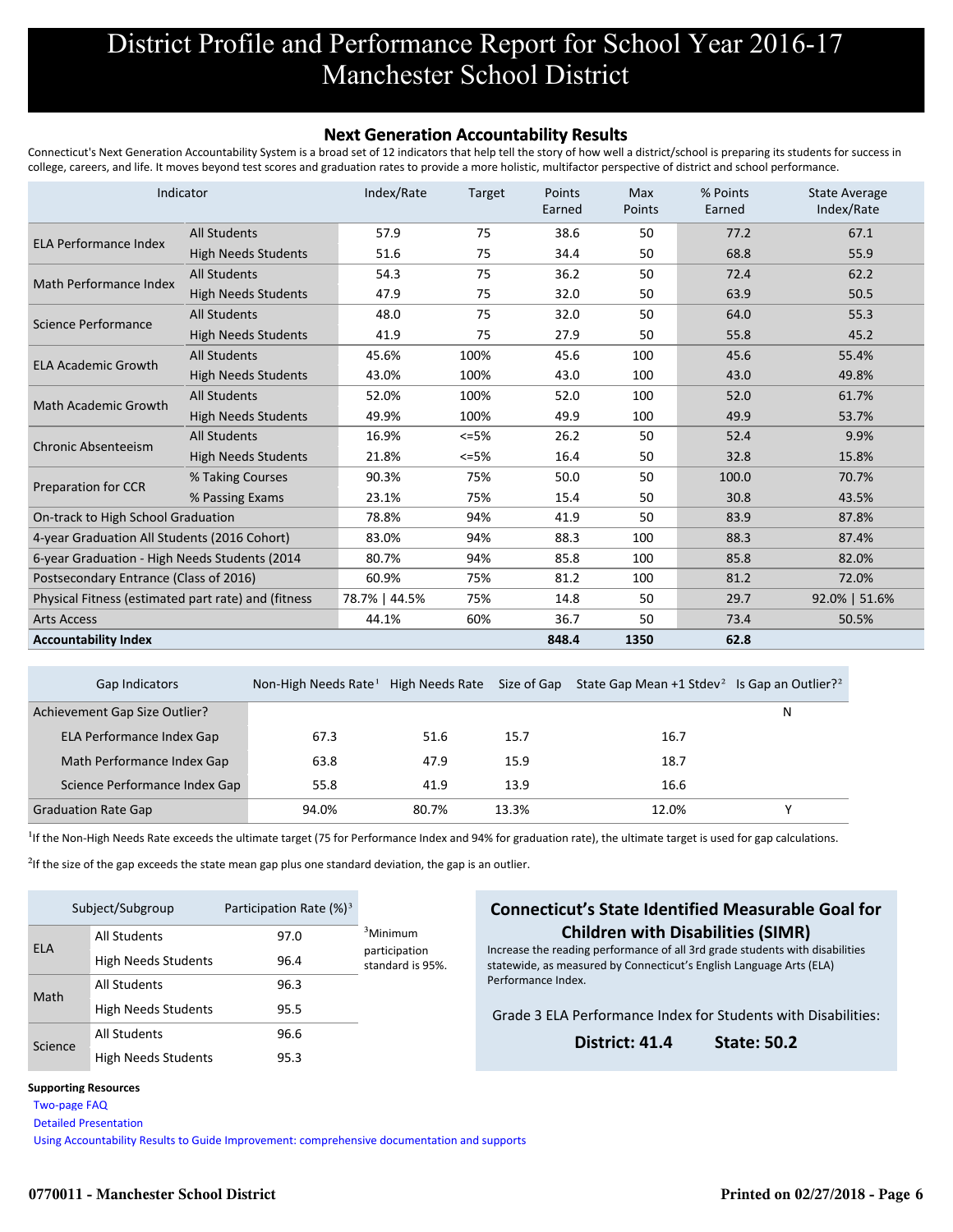# District Profile and Performance Report for School Year 2016-17 Manchester School District

#### **Next Generation Accountability Results**

Connecticut's Next Generation Accountability System is a broad set of 12 indicators that help tell the story of how well a district/school is preparing its students for success in college, careers, and life. It moves beyond test scores and graduation rates to provide a more holistic, multifactor perspective of district and school performance.

|                                                     | Indicator                  | Index/Rate    | <b>Target</b> | Points<br>Earned | <b>Max</b><br>Points | % Points<br>Earned | <b>State Average</b><br>Index/Rate |
|-----------------------------------------------------|----------------------------|---------------|---------------|------------------|----------------------|--------------------|------------------------------------|
| <b>ELA Performance Index</b>                        | <b>All Students</b>        | 57.9          | 75            | 38.6             | 50                   | 77.2               | 67.1                               |
|                                                     | <b>High Needs Students</b> | 51.6          | 75            | 34.4             | 50                   | 68.8               | 55.9                               |
| Math Performance Index                              | <b>All Students</b>        | 54.3          | 75            | 36.2             | 50                   | 72.4               | 62.2                               |
|                                                     | <b>High Needs Students</b> | 47.9          | 75            | 32.0             | 50                   | 63.9               | 50.5                               |
| Science Performance                                 | <b>All Students</b>        | 48.0          | 75            | 32.0             | 50                   | 64.0               | 55.3                               |
|                                                     | <b>High Needs Students</b> | 41.9          | 75            | 27.9             | 50                   | 55.8               | 45.2                               |
|                                                     | <b>All Students</b>        | 45.6%         | 100%          | 45.6             | 100                  | 45.6               | 55.4%                              |
| <b>ELA Academic Growth</b>                          | <b>High Needs Students</b> | 43.0%         | 100%          | 43.0             | 100                  | 43.0               | 49.8%                              |
| Math Academic Growth                                | <b>All Students</b>        | 52.0%         | 100%          | 52.0             | 100                  | 52.0               | 61.7%                              |
|                                                     | <b>High Needs Students</b> | 49.9%         | 100%          | 49.9             | 100                  | 49.9               | 53.7%                              |
| <b>Chronic Absenteeism</b>                          | <b>All Students</b>        | 16.9%         | $<=5%$        | 26.2             | 50                   | 52.4               | 9.9%                               |
|                                                     | <b>High Needs Students</b> | 21.8%         | $<=5%$        | 16.4             | 50                   | 32.8               | 15.8%                              |
|                                                     | % Taking Courses           | 90.3%         | 75%           | 50.0             | 50                   | 100.0              | 70.7%                              |
| <b>Preparation for CCR</b>                          | % Passing Exams            | 23.1%         | 75%           | 15.4             | 50                   | 30.8               | 43.5%                              |
| On-track to High School Graduation                  |                            | 78.8%         | 94%           | 41.9             | 50                   | 83.9               | 87.8%                              |
| 4-year Graduation All Students (2016 Cohort)        |                            | 83.0%         | 94%           | 88.3             | 100                  | 88.3               | 87.4%                              |
| 6-year Graduation - High Needs Students (2014       |                            | 80.7%         | 94%           | 85.8             | 100                  | 85.8               | 82.0%                              |
| Postsecondary Entrance (Class of 2016)              |                            | 60.9%         | 75%           | 81.2             | 100                  | 81.2               | 72.0%                              |
| Physical Fitness (estimated part rate) and (fitness |                            | 78.7%   44.5% | 75%           | 14.8             | 50                   | 29.7               | 92.0%   51.6%                      |
| <b>Arts Access</b>                                  |                            | 44.1%         | 60%           | 36.7             | 50                   | 73.4               | 50.5%                              |
| <b>Accountability Index</b>                         |                            |               |               | 848.4            | 1350                 | 62.8               |                                    |

| Gap Indicators                | Non-High Needs Rate <sup>1</sup> | High Needs Rate | Size of Gap | State Gap Mean +1 Stdev <sup>2</sup> Is Gap an Outlier? <sup>2</sup> |   |
|-------------------------------|----------------------------------|-----------------|-------------|----------------------------------------------------------------------|---|
| Achievement Gap Size Outlier? |                                  |                 |             |                                                                      | N |
| ELA Performance Index Gap     | 67.3                             | 51.6            | 15.7        | 16.7                                                                 |   |
| Math Performance Index Gap    | 63.8                             | 47.9            | 15.9        | 18.7                                                                 |   |
| Science Performance Index Gap | 55.8                             | 41.9            | 13.9        | 16.6                                                                 |   |
| <b>Graduation Rate Gap</b>    | 94.0%                            | 80.7%           | 13.3%       | 12.0%                                                                |   |

<sup>1</sup>If the Non-High Needs Rate exceeds the ultimate target (75 for Performance Index and 94% for graduation rate), the ultimate target is used for gap calculations.

 $2$ If the size of the gap exceeds the state mean gap plus one standard deviation, the gap is an outlier.

| Subject/Subgroup |                            | Participation Rate $(\%)^3$ |                                   |  |
|------------------|----------------------------|-----------------------------|-----------------------------------|--|
| <b>ELA</b>       | <b>All Students</b>        | 97.0                        | <sup>3</sup> Minimum              |  |
|                  | <b>High Needs Students</b> | 96.4                        | participation<br>standard is 95%. |  |
| Math             | <b>All Students</b>        | 96.3                        |                                   |  |
|                  | <b>High Needs Students</b> | 95.5                        |                                   |  |
| Science          | <b>All Students</b>        | 96.6                        |                                   |  |
|                  | <b>High Needs Students</b> | 95.3                        |                                   |  |

#### **Connecticut's State Identified Measurable Goal for Children with Disabilities (SIMR)**

Increase the reading performance of all 3rd grade students with disabilities statewide, as measured by Connecticut's English Language Arts (ELA) Performance Index.

Grade 3 ELA Performance Index for Students with Disabilities:

**District: 41.4 State: 50.2**

#### **Supporting Resources**

 [Two-page FAQ](http://edsight.ct.gov/relatedreports/nextgenFAQ_revisedJan2018.pdf) 

 [Detailed Presentation](http://edsight.ct.gov/relatedreports/next_generation_accountability_system_march_2016.pdf) 

 [Using Accountability Results to Guide Improvement: comprehensive documentation and supports](http://edsight.ct.gov/relatedreports/Using_Accountability_Results_to_Guide_Improvement.pdf)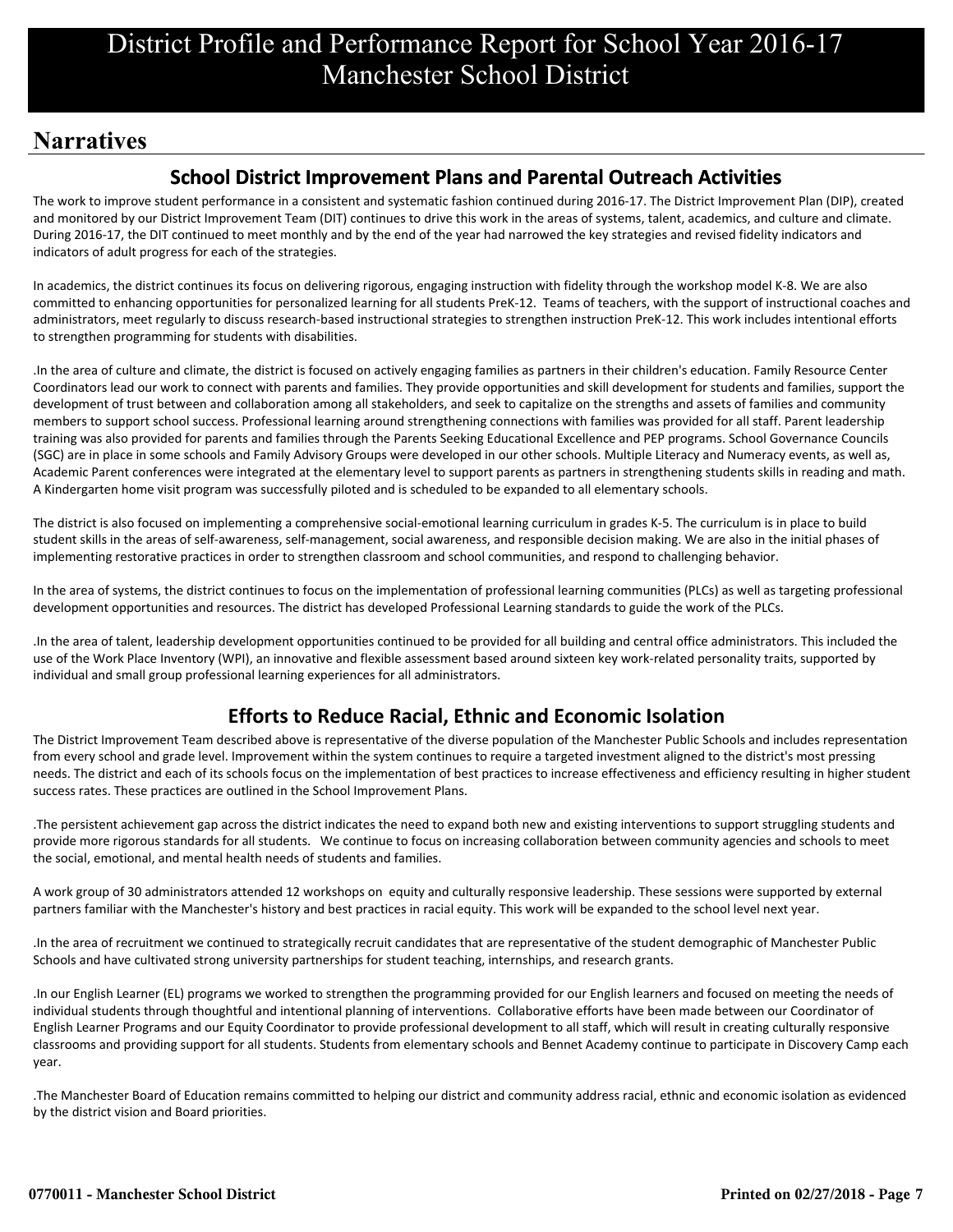# **Narratives**

## **School District Improvement Plans and Parental Outreach Activities**

The work to improve student performance in a consistent and systematic fashion continued during 2016-17. The District Improvement Plan (DIP), created and monitored by our District Improvement Team (DIT) continues to drive this work in the areas of systems, talent, academics, and culture and climate. During 2016-17, the DIT continued to meet monthly and by the end of the year had narrowed the key strategies and revised fidelity indicators and indicators of adult progress for each of the strategies.

In academics, the district continues its focus on delivering rigorous, engaging instruction with fidelity through the workshop model K-8. We are also committed to enhancing opportunities for personalized learning for all students PreK-12. Teams of teachers, with the support of instructional coaches and administrators, meet regularly to discuss research-based instructional strategies to strengthen instruction PreK-12. This work includes intentional efforts to strengthen programming for students with disabilities.

.In the area of culture and climate, the district is focused on actively engaging families as partners in their children's education. Family Resource Center Coordinators lead our work to connect with parents and families. They provide opportunities and skill development for students and families, support the development of trust between and collaboration among all stakeholders, and seek to capitalize on the strengths and assets of families and community members to support school success. Professional learning around strengthening connections with families was provided for all staff. Parent leadership training was also provided for parents and families through the Parents Seeking Educational Excellence and PEP programs. School Governance Councils (SGC) are in place in some schools and Family Advisory Groups were developed in our other schools. Multiple Literacy and Numeracy events, as well as, Academic Parent conferences were integrated at the elementary level to support parents as partners in strengthening students skills in reading and math. A Kindergarten home visit program was successfully piloted and is scheduled to be expanded to all elementary schools.

The district is also focused on implementing a comprehensive social-emotional learning curriculum in grades K-5. The curriculum is in place to build student skills in the areas of self-awareness, self-management, social awareness, and responsible decision making. We are also in the initial phases of implementing restorative practices in order to strengthen classroom and school communities, and respond to challenging behavior.

In the area of systems, the district continues to focus on the implementation of professional learning communities (PLCs) as well as targeting professional development opportunities and resources. The district has developed Professional Learning standards to guide the work of the PLCs.

.In the area of talent, leadership development opportunities continued to be provided for all building and central office administrators. This included the use of the Work Place Inventory (WPI), an innovative and flexible assessment based around sixteen key work-related personality traits, supported by individual and small group professional learning experiences for all administrators.

## **Efforts to Reduce Racial, Ethnic and Economic Isolation**

The District Improvement Team described above is representative of the diverse population of the Manchester Public Schools and includes representation from every school and grade level. Improvement within the system continues to require a targeted investment aligned to the district's most pressing needs. The district and each of its schools focus on the implementation of best practices to increase effectiveness and efficiency resulting in higher student success rates. These practices are outlined in the School Improvement Plans.

.The persistent achievement gap across the district indicates the need to expand both new and existing interventions to support struggling students and provide more rigorous standards for all students. We continue to focus on increasing collaboration between community agencies and schools to meet the social, emotional, and mental health needs of students and families.

A work group of 30 administrators attended 12 workshops on equity and culturally responsive leadership. These sessions were supported by external partners familiar with the Manchester's history and best practices in racial equity. This work will be expanded to the school level next year.

.In the area of recruitment we continued to strategically recruit candidates that are representative of the student demographic of Manchester Public Schools and have cultivated strong university partnerships for student teaching, internships, and research grants.

.In our English Learner (EL) programs we worked to strengthen the programming provided for our English learners and focused on meeting the needs of individual students through thoughtful and intentional planning of interventions. Collaborative efforts have been made between our Coordinator of English Learner Programs and our Equity Coordinator to provide professional development to all staff, which will result in creating culturally responsive classrooms and providing support for all students. Students from elementary schools and Bennet Academy continue to participate in Discovery Camp each year.

.The Manchester Board of Education remains committed to helping our district and community address racial, ethnic and economic isolation as evidenced by the district vision and Board priorities.